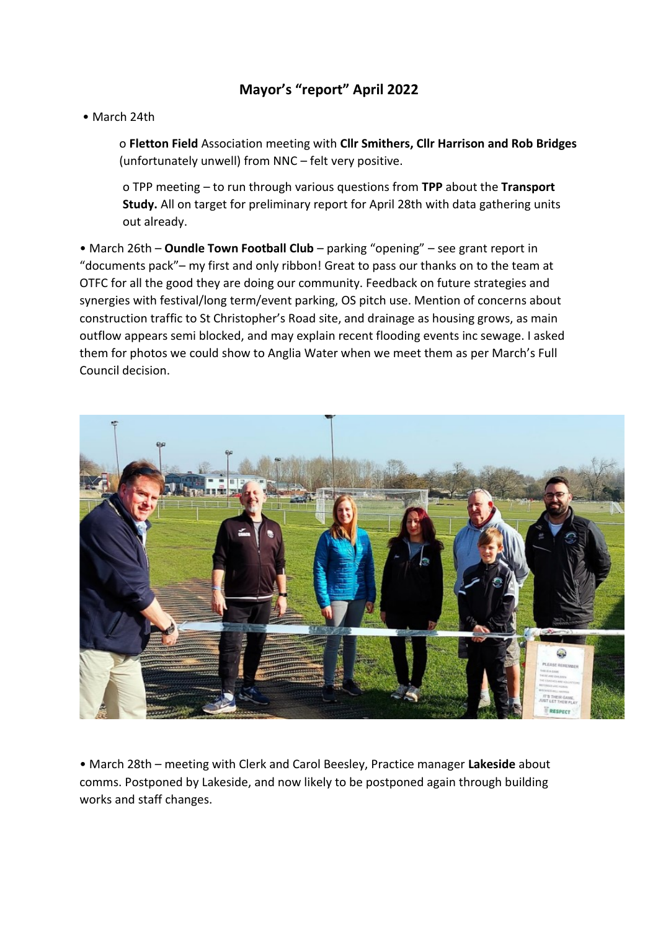## **Mayor's "report" April 2022**

• March 24th

o **Fletton Field** Association meeting with **Cllr Smithers, Cllr Harrison and Rob Bridges** (unfortunately unwell) from NNC – felt very positive.

o TPP meeting – to run through various questions from **TPP** about the **Transport Study.** All on target for preliminary report for April 28th with data gathering units out already.

• March 26th – **Oundle Town Football Club** – parking "opening" – see grant report in "documents pack"– my first and only ribbon! Great to pass our thanks on to the team at OTFC for all the good they are doing our community. Feedback on future strategies and synergies with festival/long term/event parking, OS pitch use. Mention of concerns about construction traffic to St Christopher's Road site, and drainage as housing grows, as main outflow appears semi blocked, and may explain recent flooding events inc sewage. I asked them for photos we could show to Anglia Water when we meet them as per March's Full Council decision.



• March 28th – meeting with Clerk and Carol Beesley, Practice manager **Lakeside** about comms. Postponed by Lakeside, and now likely to be postponed again through building works and staff changes.